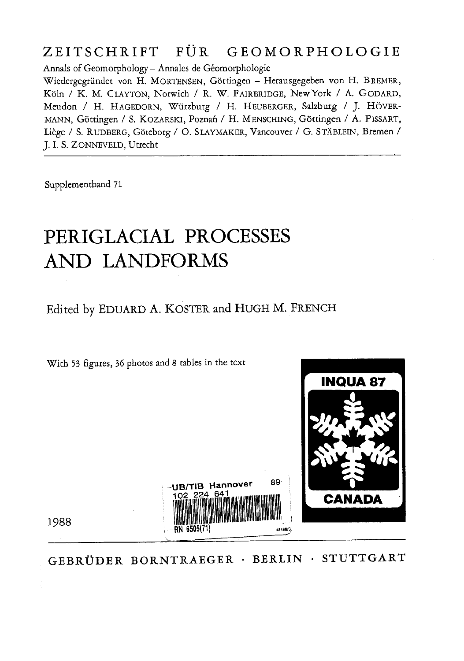## ZEITSCHRIFT FÜR GEOMORPHOLOGIE

Annals of Geomorphology - Annales de Géomorphologie

Wiedergegründet von H. MORTENSEN, Göttingen - Herausgegeben von H. BREMER, Koln / K. M. CLAYTON, Norwich / R. W. FAIRBRIDGE, NewYork / A. GoDARD, Meudon / H. HAGEDORN, Würzburg / H. HEUBERGER, Salzburg / J. HÖVER-MANN, Gottingen / S. KOZARSKI, Poznan / H. MENSCHING, Gottingen / A. PlSSART, Liège / S. RUDBERG, Göteborg / O. SLAYMAKER, Vancouver / G. STÄBLEIN, Bremen / J. I. S. ZONNEVELD, Utrecht

Supplementband 71

## PERIGLACIAL PROCESSES AND LANDFORMS

Edited by EDUARD A. KOSTER and HUGH M. FRENCH



GEBRÜDER BORNTRAEGER · BERLIN · STUTTGART